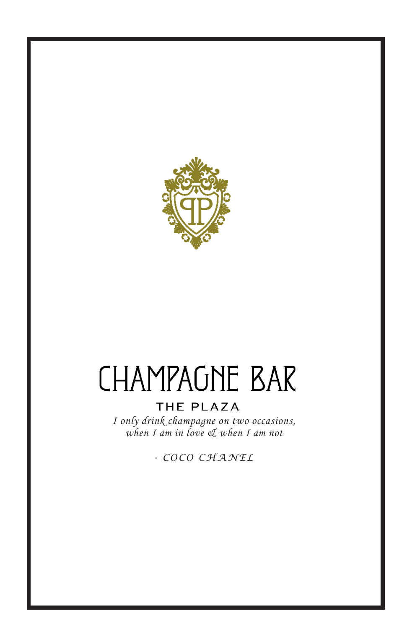

# **CHAMPAGNE BAR**

## THE PLAZA

*I only drink champagne on two occasions, when I am in love & when I am not*

*- COCO CHANEL*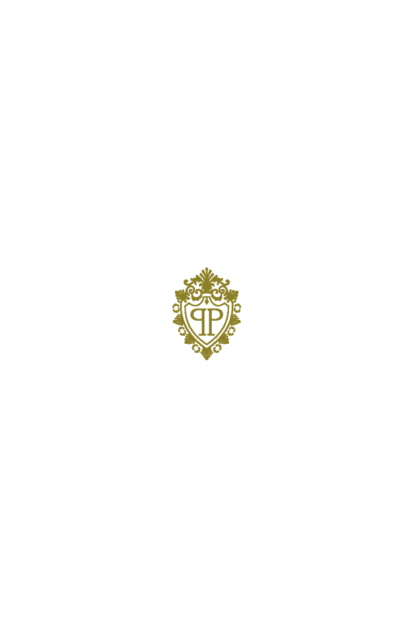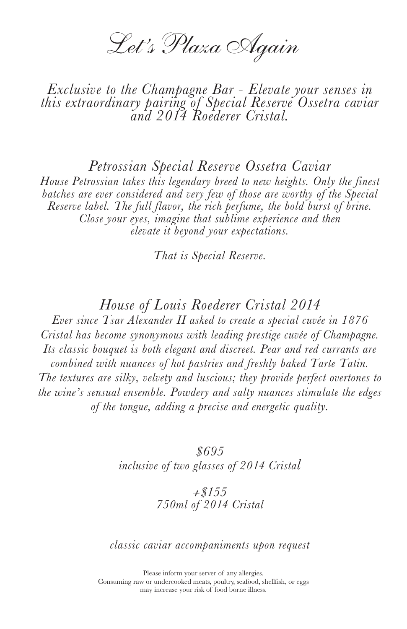Let's Plaza Again

## *Exclusive to the Champagne Bar - Elevate your senses in this extraordinary pairing of Special Reserve Ossetra caviar and 2014 Roederer Cristal.*

*Petrossian Special Reserve Ossetra Caviar House Petrossian takes this legendary breed to new heights. Only the finest batches are ever considered and very few of those are worthy of the Special Reserve label. The full flavor, the rich perfume, the bold burst of brine. Close your eyes, imagine that sublime experience and then elevate it beyond your expectations.*

*That is Special Reserve.*

*House of Louis Roederer Cristal 2014 Ever since Tsar Alexander II asked to create a special cuvée in 1876*

*Cristal has become synonymous with leading prestige cuvée of Champagne. Its classic bouquet is both elegant and discreet. Pear and red currants are combined with nuances of hot pastries and freshly baked Tarte Tatin. The textures are silky, velvety and luscious; they provide perfect overtones to the wine's sensual ensemble. Powdery and salty nuances stimulate the edges of the tongue, adding a precise and energetic quality.*

> *\$695 inclusive of two glasses of 2014 Cristal*

### +*\$155 750ml of 2014 Cristal*

*classic caviar accompaniments upon request*

Please inform your server of any allergies. Consuming raw or undercooked meats, poultry, seafood, shellfish, or eggs may increase your risk of food borne illness.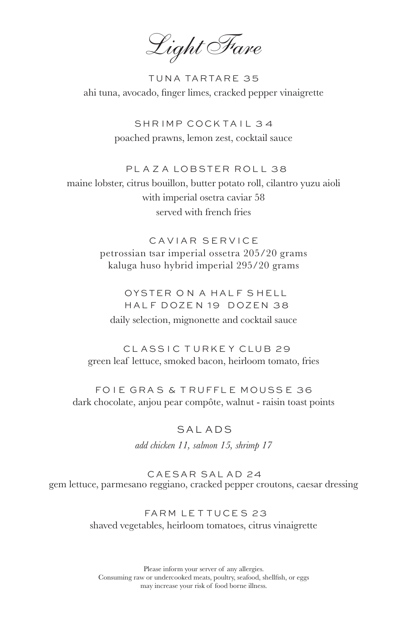Light Fare

TUNA TARTARE 35 ahi tuna, avocado, finger limes, cracked pepper vinaigrette

SHRIMP COCK TAIL 34 poached prawns, lemon zest, cocktail sauce

#### PLAZA LOBSTER ROLL 38

maine lobster, citrus bouillon, butter potato roll, cilantro yuzu aioli with imperial osetra caviar 58 served with french fries

> CAVIAR SERVICE petrossian tsar imperial ossetra 205/20 grams kaluga huso hybrid imperial 295/20 grams

OYSTER ON A HALF SHELL HAL F DOZE N 19 DOZEN 38 daily selection, mignonette and cocktail sauce

CLASSIC TURKEY CLUB 29 green leaf lettuce, smoked bacon, heirloom tomato, fries

FOIE GRAS & TRUFFLE MOUSSE 36 dark chocolate, anjou pear compôte, walnut - raisin toast points

## SAL ADS

*add chicken 11, salmon 15, shrimp 17*

CAESAR SALAD 24 gem lettuce, parmesano reggiano, cracked pepper croutons, caesar dressing

> FARM LETTUCES 23 shaved vegetables, heirloom tomatoes, citrus vinaigrette

Please inform your server of any allergies. Consuming raw or undercooked meats, poultry, seafood, shellfish, or eggs may increase your risk of food borne illness.